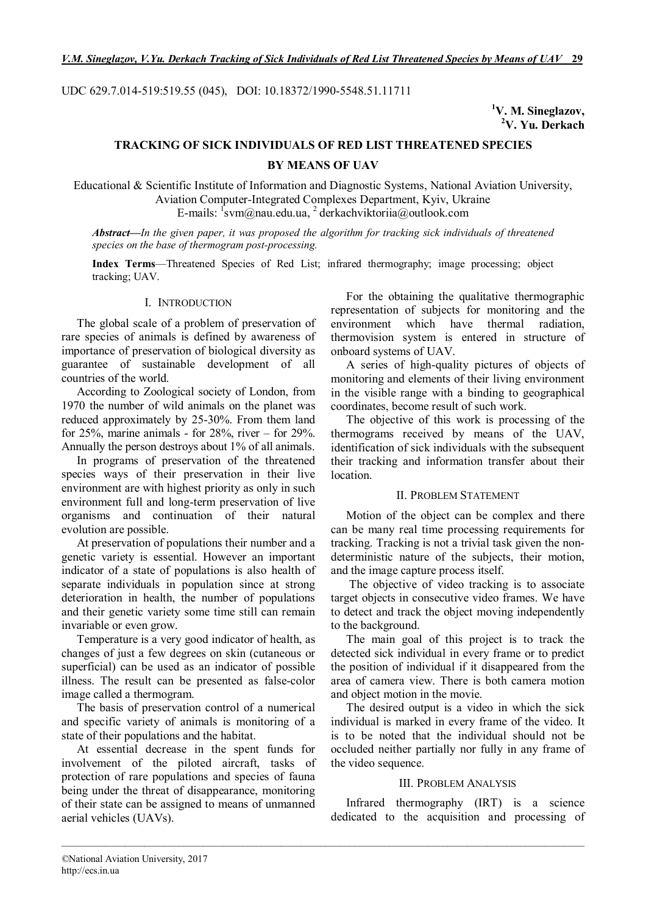UDC 629.7.014-519:519.55 (045), DOI: 10.18372/1990-5548.51.11711

**<sup>1</sup>V. M. Sineglazov, <sup>2</sup>V. Yu. Derkach**

# **TRACKING OF SICK INDIVIDUALS OF RED LIST THREATENED SPECIES BY MEANS OF UAV**

Educational & Scientific Institute of Information and Diagnostic Systems, National Aviation University, Aviation Computer-Integrated Complexes Department, Kyiv, Ukraine E-mails: <sup>1</sup>svm@nau.edu.ua, <sup>2</sup> derkachviktoriia@outlook.com

*Abstract—In the given paper, it was proposed the algorithm for tracking sick individuals of threatened species on the base of thermogram post-processing.*

**Index Terms**—Threatened Species of Red List; infrared thermography; image processing; object tracking; UAV.

# I. INTRODUCTION

The global scale of a problem of preservation of rare species of animals is defined by awareness of importance of preservation of biological diversity as guarantee of sustainable development of all countries of the world.

According to Zoological society of London, from 1970 the number of wild animals on the planet was reduced approximately by 25-30%. From them land for  $25\%$ , marine animals - for  $28\%$ , river – for  $29\%$ . Annually the person destroys about 1% of all animals.

In programs of preservation of the threatened species ways of their preservation in their live environment are with highest priority as only in such environment full and long-term preservation of live organisms and continuation of their natural evolution are possible.

At preservation of populations their number and a genetic variety is essential. However an important indicator of a state of populations is also health of separate individuals in population since at strong deterioration in health, the number of populations and their genetic variety some time still can remain invariable or even grow.

Temperature is a very good indicator of health, as changes of just a few degrees on skin (cutaneous or superficial) can be used as an indicator of possible illness. The result can be presented as false-color image called a thermogram.

The basis of preservation control of a numerical and specific variety of animals is monitoring of a state of their populations and the habitat.

At essential decrease in the spent funds for involvement of the piloted aircraft, tasks of protection of rare populations and species of fauna being under the threat of disappearance, monitoring of their state can be assigned to means of unmanned aerial vehicles (UAVs).

For the obtaining the qualitative thermographic representation of subjects for monitoring and the environment which have thermal radiation, thermovision system is entered in structure of onboard systems of UAV.

A series of high-quality pictures of objects of monitoring and elements of their living environment in the visible range with a binding to geographical coordinates, become result of such work.

The objective of this work is processing of the thermograms received by means of the UAV, identification of sick individuals with the subsequent their tracking and information transfer about their location.

# II. PROBLEM STATEMENT

Motion of the object can be complex and there can be many real time processing requirements for tracking. Tracking is not a trivial task given the nondeterministic nature of the subjects, their motion, and the image capture process itself.

The objective of video tracking is to associate target objects in consecutive video frames. We have to detect and track the object moving independently to the background.

The main goal of this project is to track the detected sick individual in every frame or to predict the position of individual if it disappeared from the area of camera view. There is both camera motion and object motion in the movie.

The desired output is a video in which the sick individual is marked in every frame of the video. It is to be noted that the individual should not be occluded neither partially nor fully in any frame of the video sequence.

# III. PROBLEM ANALYSIS

Infrared thermography (IRT) is a science dedicated to the acquisition and processing of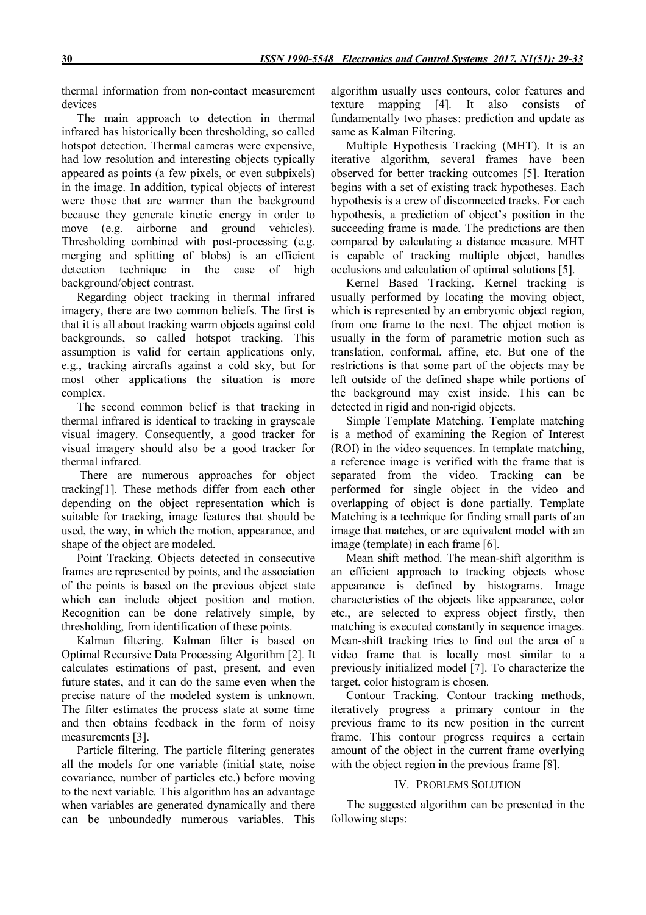thermal information from non-contact measurement devices

The main approach to detection in thermal infrared has historically been thresholding, so called hotspot detection. Thermal cameras were expensive, had low resolution and interesting objects typically appeared as points (a few pixels, or even subpixels) in the image. In addition, typical objects of interest were those that are warmer than the background because they generate kinetic energy in order to move (e.g. airborne and ground vehicles). Thresholding combined with post-processing (e.g. merging and splitting of blobs) is an efficient detection technique in the case of high background/object contrast.

Regarding object tracking in thermal infrared imagery, there are two common beliefs. The first is that it is all about tracking warm objects against cold backgrounds, so called hotspot tracking. This assumption is valid for certain applications only, e.g., tracking aircrafts against a cold sky, but for most other applications the situation is more complex.

The second common belief is that tracking in thermal infrared is identical to tracking in grayscale visual imagery. Consequently, a good tracker for visual imagery should also be a good tracker for thermal infrared.

There are numerous approaches for object tracking[1]. These methods differ from each other depending on the object representation which is suitable for tracking, image features that should be used, the way, in which the motion, appearance, and shape of the object are modeled.

Point Tracking. Objects detected in consecutive frames are represented by points, and the association of the points is based on the previous object state which can include object position and motion. Recognition can be done relatively simple, by thresholding, from identification of these points.

Kalman filtering. Kalman filter is based on Optimal Recursive Data Processing Algorithm [2]. It calculates estimations of past, present, and even future states, and it can do the same even when the precise nature of the modeled system is unknown. The filter estimates the process state at some time and then obtains feedback in the form of noisy measurements [3].

Particle filtering. The particle filtering generates all the models for one variable (initial state, noise covariance, number of particles etc.) before moving to the next variable. This algorithm has an advantage when variables are generated dynamically and there can be unboundedly numerous variables. This algorithm usually uses contours, color features and texture mapping [4]. It also consists of fundamentally two phases: prediction and update as same as Kalman Filtering.

Multiple Hypothesis Tracking (MHT). It is an iterative algorithm, several frames have been observed for better tracking outcomes [5]. Iteration begins with a set of existing track hypotheses. Each hypothesis is a crew of disconnected tracks. For each hypothesis, a prediction of object's position in the succeeding frame is made. The predictions are then compared by calculating a distance measure. MHT is capable of tracking multiple object, handles occlusions and calculation of optimal solutions [5].

Kernel Based Tracking. Kernel tracking is usually performed by locating the moving object, which is represented by an embryonic object region, from one frame to the next. The object motion is usually in the form of parametric motion such as translation, conformal, affine, etc. But one of the restrictions is that some part of the objects may be left outside of the defined shape while portions of the background may exist inside. This can be detected in rigid and non-rigid objects.

Simple Template Matching. Template matching is a method of examining the Region of Interest (ROI) in the video sequences. In template matching, a reference image is verified with the frame that is separated from the video. Tracking can be performed for single object in the video and overlapping of object is done partially. Template Matching is a technique for finding small parts of an image that matches, or are equivalent model with an image (template) in each frame [6].

Mean shift method. The mean-shift algorithm is an efficient approach to tracking objects whose appearance is defined by histograms. Image characteristics of the objects like appearance, color etc., are selected to express object firstly, then matching is executed constantly in sequence images. Mean-shift tracking tries to find out the area of a video frame that is locally most similar to a previously initialized model [7]. To characterize the target, color histogram is chosen.

Contour Tracking. Contour tracking methods, iteratively progress a primary contour in the previous frame to its new position in the current frame. This contour progress requires a certain amount of the object in the current frame overlying with the object region in the previous frame [8].

# IV. PROBLEMS SOLUTION

The suggested algorithm can be presented in the following steps: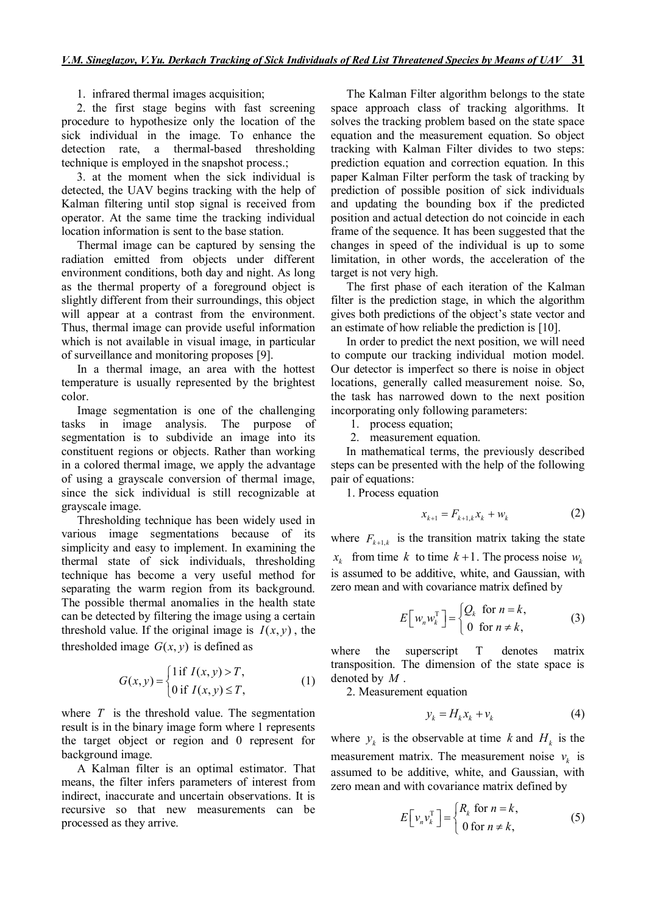# 1. infrared thermal images acquisition;

2. the first stage begins with fast screening procedure to hypothesize only the location of the sick individual in the image. To enhance the detection rate, a thermal-based thresholding technique is employed in the snapshot process.;

3. at the moment when the sick individual is detected, the UAV begins tracking with the help of Kalman filtering until stop signal is received from operator. At the same time the tracking individual location information is sent to the base station.

Thermal image can be captured by sensing the radiation emitted from objects under different environment conditions, both day and night. As long as the thermal property of a foreground object is slightly different from their surroundings, this object will appear at a contrast from the environment. Thus, thermal image can provide useful information which is not available in visual image, in particular of surveillance and monitoring proposes [9].

In a thermal image, an area with the hottest temperature is usually represented by the brightest color.

Image segmentation is one of the challenging tasks in image analysis. The purpose of segmentation is to subdivide an image into its constituent regions or objects. Rather than working in a colored thermal image, we apply the advantage of using a grayscale conversion of thermal image, since the sick individual is still recognizable at grayscale image.

Thresholding technique has been widely used in various image segmentations because of its simplicity and easy to implement. In examining the thermal state of sick individuals, thresholding technique has become a very useful method for separating the warm region from its background. The possible thermal anomalies in the health state can be detected by filtering the image using a certain threshold value. If the original image is  $I(x, y)$ , the thresholded image  $G(x, y)$  is defined as

$$
G(x, y) = \begin{cases} 1 \text{ if } I(x, y) > T, \\ 0 \text{ if } I(x, y) \le T, \end{cases}
$$
 (1)

where *T* is the threshold value. The segmentation result is in the binary image form where 1 represents the target object or region and 0 represent for background image.

A Kalman filter is an optimal estimator. That means, the filter infers parameters of interest from indirect, inaccurate and uncertain observations. It is recursive so that new measurements can be processed as they arrive.

The Kalman Filter algorithm belongs to the state space approach class of tracking algorithms. It solves the tracking problem based on the state space equation and the measurement equation. So object tracking with Kalman Filter divides to two steps: prediction equation and correction equation. In this paper Kalman Filter perform the task of tracking by prediction of possible position of sick individuals and updating the bounding box if the predicted position and actual detection do not coincide in each frame of the sequence. It has been suggested that the changes in speed of the individual is up to some limitation, in other words, the acceleration of the target is not very high.

The first phase of each iteration of the Kalman filter is the prediction stage, in which the algorithm gives both predictions of the object's state vector and an estimate of how reliable the prediction is [10].

In order to predict the next position, we will need to compute our tracking individual motion model. Our detector is imperfect so there is noise in object locations, generally called measurement noise. So, the task has narrowed down to the next position incorporating only following parameters:

1. process equation;

2. measurement equation.

In mathematical terms, the previously described steps can be presented with the help of the following pair of equations:

1. Process equation

$$
x_{k+1} = F_{k+1,k} x_k + w_k \tag{2}
$$

where  $F_{k+1,k}$  is the transition matrix taking the state  $x_k$  from time *k* to time  $k+1$ . The process noise  $w_k$ is assumed to be additive, white, and Gaussian, with zero mean and with covariance matrix defined by

$$
E\left[w_n w_k^{\mathrm{T}}\right] = \begin{cases} Q_k & \text{for } n = k, \\ 0 & \text{for } n \neq k, \end{cases}
$$
 (3)

where the superscript T denotes matrix transposition. The dimension of the state space is denoted by *M* .

2. Measurement equation

$$
y_k = H_k x_k + v_k \tag{4}
$$

where  $y_k$  is the observable at time *k* and  $H_k$  is the measurement matrix. The measurement noise  $v_k$  is assumed to be additive, white, and Gaussian, with zero mean and with covariance matrix defined by

$$
E\left[\nu_n \nu_k^{\mathrm{T}}\right] = \begin{cases} R_k \text{ for } n = k, \\ 0 \text{ for } n \neq k, \end{cases}
$$
 (5)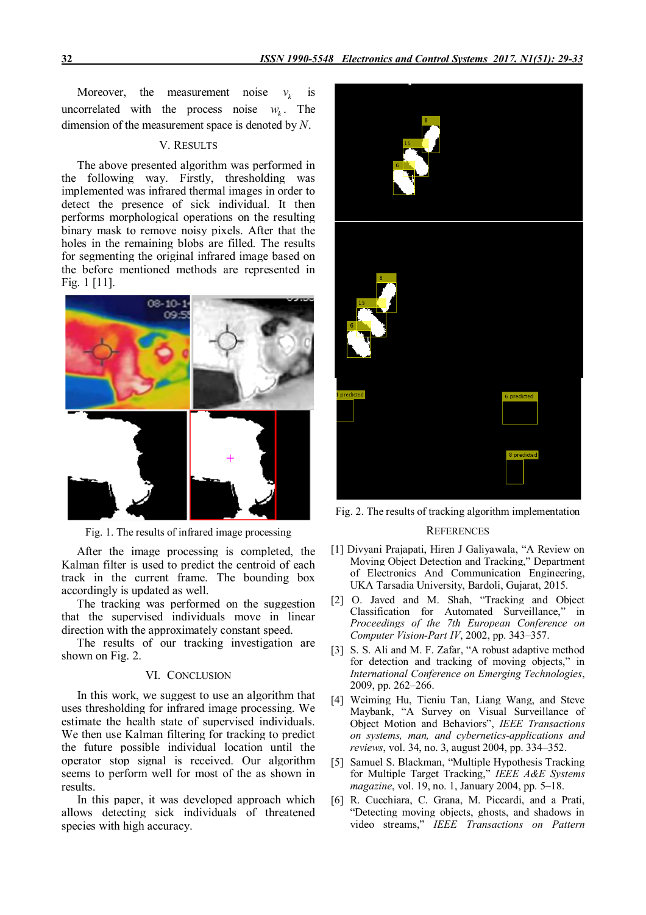Moreover, the measurement noise  $v_k$  is uncorrelated with the process noise  $w_k$ . . The dimension of the measurement space is denoted by *N*.

#### V. RESULTS

The above presented algorithm was performed in the following way. Firstly, thresholding was implemented was infrared thermal images in order to detect the presence of sick individual. It then performs morphological operations on the resulting binary mask to remove noisy pixels. After that the holes in the remaining blobs are filled. The results for segmenting the original infrared image based on the before mentioned methods are represented in Fig. 1 [11].



Fig. 1. The results of infrared image processing

After the image processing is completed, the Kalman filter is used to predict the centroid of each track in the current frame. The bounding box accordingly is updated as well.

The tracking was performed on the suggestion that the supervised individuals move in linear direction with the approximately constant speed.

The results of our tracking investigation are shown on Fig. 2.

# VI. CONCLUSION

In this work, we suggest to use an algorithm that uses thresholding for infrared image processing. We estimate the health state of supervised individuals. We then use Kalman filtering for tracking to predict the future possible individual location until the operator stop signal is received. Our algorithm seems to perform well for most of the as shown in results.

In this paper, it was developed approach which allows detecting sick individuals of threatened species with high accuracy.



Fig. 2. The results of tracking algorithm implementation

## **REFERENCES**

- [1] Divyani Prajapati, Hiren J Galiyawala, "A Review on Moving Object Detection and Tracking," Department of Electronics And Communication Engineering, UKA Tarsadia University, Bardoli, Gujarat, 2015.
- [2] O. Javed and M. Shah, "Tracking and Object Classification for Automated Surveillance," in *Proceedings of the 7th European Conference on Computer Vision-Part IV*, 2002, pp. 343–357.
- [3] S. S. Ali and M. F. Zafar, "A robust adaptive method for detection and tracking of moving objects," in *International Conference on Emerging Technologies*, 2009, pp. 262–266.
- [4] Weiming Hu, Tieniu Tan, Liang Wang, and Steve Maybank, "A Survey on Visual Surveillance of Object Motion and Behaviors", *IEEE Transactions on systems, man, and cybernetics-applications and reviews*, vol. 34, no. 3, august 2004, pp. 334–352.
- [5] Samuel S. Blackman, "Multiple Hypothesis Tracking for Multiple Target Tracking," *IEEE A&E Systems magazine*, vol. 19, no. 1, January 2004, pp. 5–18.
- [6] R. Cucchiara, C. Grana, M. Piccardi, and a Prati, "Detecting moving objects, ghosts, and shadows in video streams," *IEEE Transactions on Pattern*